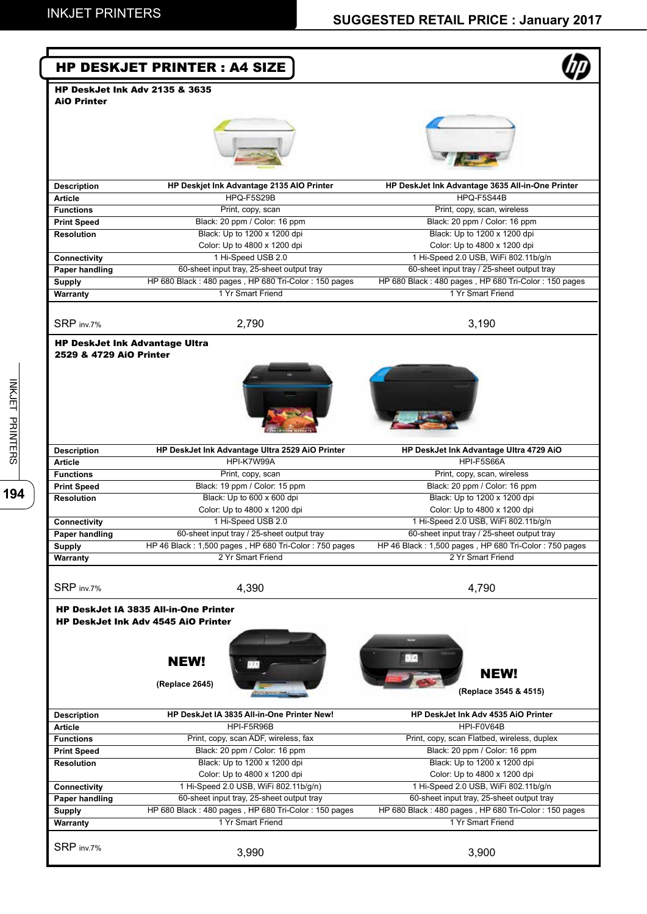|                                                                  | <b>HP DESKJET PRINTER: A4 SIZE</b>                                                                                          |                                                                                                   |
|------------------------------------------------------------------|-----------------------------------------------------------------------------------------------------------------------------|---------------------------------------------------------------------------------------------------|
|                                                                  | <b>HP DeskJet Ink Adv 2135 &amp; 3635</b>                                                                                   |                                                                                                   |
| <b>AiO Printer</b>                                               |                                                                                                                             |                                                                                                   |
|                                                                  |                                                                                                                             |                                                                                                   |
| <b>Description</b>                                               | HP Deskjet Ink Advantage 2135 AIO Printer                                                                                   | HP DeskJet Ink Advantage 3635 All-in-One Printer                                                  |
| <b>Article</b>                                                   | HPQ-F5S29B                                                                                                                  | HPQ-F5S44B                                                                                        |
| <b>Functions</b>                                                 | Print, copy, scan                                                                                                           | Print, copy, scan, wireless                                                                       |
| <b>Print Speed</b><br><b>Resolution</b>                          | Black: 20 ppm / Color: 16 ppm<br>Black: Up to 1200 x 1200 dpi                                                               | Black: 20 ppm / Color: 16 ppm<br>Black: Up to 1200 x 1200 dpi                                     |
|                                                                  | Color: Up to 4800 x 1200 dpi                                                                                                | Color: Up to 4800 x 1200 dpi                                                                      |
| Connectivity                                                     | 1 Hi-Speed USB 2.0                                                                                                          | 1 Hi-Speed 2.0 USB, WiFi 802.11b/g/n                                                              |
| Paper handling                                                   | 60-sheet input tray, 25-sheet output tray                                                                                   | 60-sheet input tray / 25-sheet output tray                                                        |
| <b>Supply</b>                                                    | HP 680 Black: 480 pages, HP 680 Tri-Color: 150 pages                                                                        | HP 680 Black: 480 pages, HP 680 Tri-Color: 150 pages                                              |
| Warranty                                                         | 1 Yr Smart Friend                                                                                                           | 1 Yr Smart Friend                                                                                 |
|                                                                  |                                                                                                                             |                                                                                                   |
| SRP inv.7%                                                       | 2,790                                                                                                                       | 3,190                                                                                             |
| <b>HP DeskJet Ink Advantage Ultra</b><br>2529 & 4729 AiO Printer |                                                                                                                             |                                                                                                   |
| <b>Description</b>                                               | HP DeskJet Ink Advantage Ultra 2529 AiO Printer                                                                             | HP DeskJet Ink Advantage Ultra 4729 AiO                                                           |
| <b>Article</b>                                                   | HPI-K7W99A                                                                                                                  | HPI-F5S66A                                                                                        |
| <b>Functions</b>                                                 | Print, copy, scan                                                                                                           | Print, copy, scan, wireless                                                                       |
| <b>Print Speed</b>                                               | Black: 19 ppm / Color: 15 ppm                                                                                               | Black: 20 ppm / Color: 16 ppm                                                                     |
| <b>Resolution</b>                                                | Black: Up to 600 x 600 dpi                                                                                                  | Black: Up to 1200 x 1200 dpi                                                                      |
|                                                                  | Color: Up to 4800 x 1200 dpi<br>1 Hi-Speed USB 2.0                                                                          | Color: Up to 4800 x 1200 dpi<br>1 Hi-Speed 2.0 USB, WiFi 802.11b/g/n                              |
| Connectivity<br><b>Paper handling</b>                            | 60-sheet input tray / 25-sheet output tray                                                                                  | 60-sheet input tray / 25-sheet output tray                                                        |
| <b>Supply</b>                                                    | HP 46 Black: 1,500 pages, HP 680 Tri-Color: 750 pages                                                                       | HP 46 Black: 1,500 pages, HP 680 Tri-Color: 750 pages                                             |
| Warranty                                                         | 2 Yr Smart Friend                                                                                                           | 2 Yr Smart Friend                                                                                 |
|                                                                  |                                                                                                                             |                                                                                                   |
| SRP inv.7%                                                       | 4,390                                                                                                                       | 4,790                                                                                             |
|                                                                  | <b>HP DeskJet IA 3835 All-in-One Printer</b><br><b>HP DeskJet Ink Adv 4545 AiO Printer</b><br><b>NEW!</b><br>(Replace 2645) | <b>NEW!</b><br>(Replace 3545 & 4515)                                                              |
| <b>Description</b>                                               | HP DeskJet IA 3835 All-in-One Printer New!                                                                                  | HP DeskJet Ink Adv 4535 AiO Printer                                                               |
| <b>Article</b>                                                   | HPI-F5R96B                                                                                                                  | HPI-F0V64B                                                                                        |
| <b>Functions</b>                                                 | Print, copy, scan ADF, wireless, fax                                                                                        | Print, copy, scan Flatbed, wireless, duplex                                                       |
| <b>Print Speed</b>                                               | Black: 20 ppm / Color: 16 ppm                                                                                               | Black: 20 ppm / Color: 16 ppm                                                                     |
| <b>Resolution</b>                                                | Black: Up to 1200 x 1200 dpi                                                                                                | Black: Up to 1200 x 1200 dpi                                                                      |
|                                                                  | Color: Up to 4800 x 1200 dpi                                                                                                | Color: Up to 4800 x 1200 dpi                                                                      |
| Connectivity                                                     | 1 Hi-Speed 2.0 USB, WiFi 802.11b/g/n)<br>60-sheet input tray, 25-sheet output tray                                          | 1 Hi-Speed 2.0 USB, WiFi 802.11b/g/n                                                              |
| <b>Paper handling</b>                                            | HP 680 Black: 480 pages, HP 680 Tri-Color: 150 pages                                                                        | 60-sheet input tray, 25-sheet output tray<br>HP 680 Black: 480 pages, HP 680 Tri-Color: 150 pages |
| <b>Supply</b><br>Warranty                                        | 1 Yr Smart Friend                                                                                                           | 1 Yr Smart Friend                                                                                 |
| SRP inv.7%                                                       | 3,990                                                                                                                       | 3,900                                                                                             |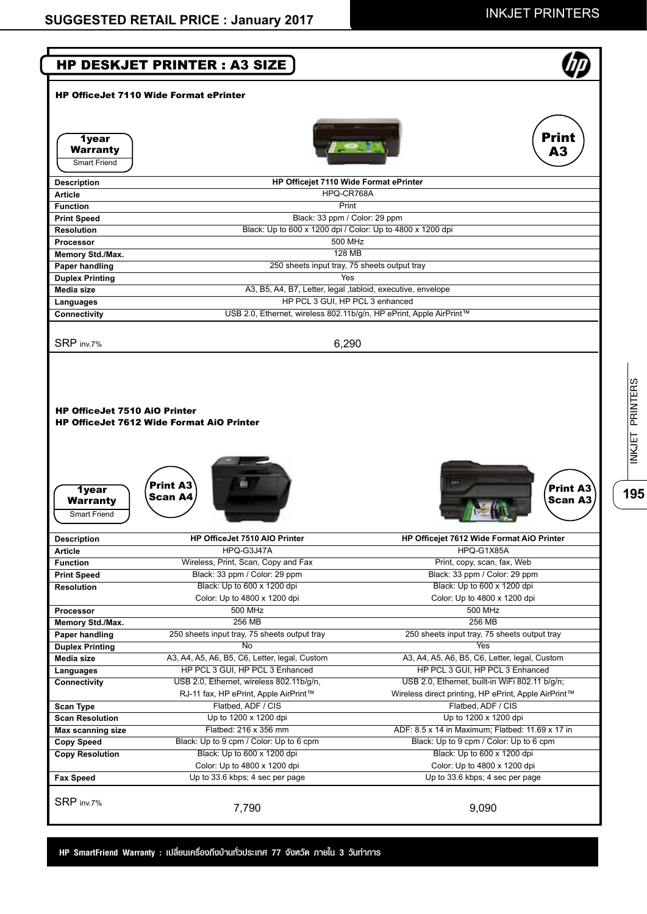**195**INKJET PRINTERS

195

**NKJET PRINTERS** 



**HP SmartFriend Warranty : เปลี่ยนเครื่องถึงบ้านทั่วประเทศ 77 จังหวัด ภายใน 3 วันทำ การ**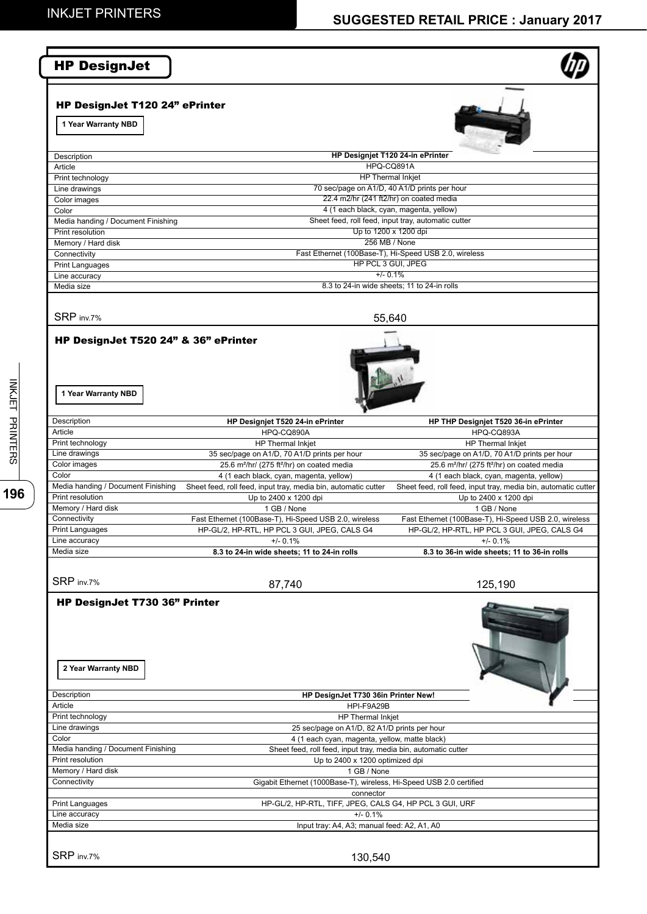# **SUGGESTED RETAIL PRICE : January 2017**

| <b>HP DesignJet</b>                                                 |                                                                                                               |                                                                                                               |
|---------------------------------------------------------------------|---------------------------------------------------------------------------------------------------------------|---------------------------------------------------------------------------------------------------------------|
| HP DesignJet T120 24" ePrinter<br>1 Year Warranty NBD               |                                                                                                               |                                                                                                               |
|                                                                     |                                                                                                               |                                                                                                               |
| Description                                                         |                                                                                                               | HP Designjet T120 24-in ePrinter                                                                              |
| Article                                                             |                                                                                                               | HPQ-CQ891A<br><b>HP</b> Thermal Inkjet                                                                        |
| Print technology<br>Line drawings                                   |                                                                                                               | 70 sec/page on A1/D, 40 A1/D prints per hour                                                                  |
| Color images                                                        |                                                                                                               | 22.4 m2/hr (241 ft2/hr) on coated media                                                                       |
| Color                                                               |                                                                                                               | 4 (1 each black, cyan, magenta, yellow)                                                                       |
| Media handing / Document Finishing                                  |                                                                                                               | Sheet feed, roll feed, input tray, automatic cutter                                                           |
| Print resolution<br>Memory / Hard disk                              |                                                                                                               | Up to 1200 x 1200 dpi<br>256 MB / None                                                                        |
| Connectivity                                                        |                                                                                                               | Fast Ethernet (100Base-T), Hi-Speed USB 2.0, wireless                                                         |
| <b>Print Languages</b>                                              |                                                                                                               | HP PCL 3 GUI, JPEG                                                                                            |
| Line accuracy                                                       |                                                                                                               | $+/- 0.1%$                                                                                                    |
| Media size                                                          |                                                                                                               | 8.3 to 24-in wide sheets; 11 to 24-in rolls                                                                   |
| SRP inv.7%                                                          |                                                                                                               | 55,640                                                                                                        |
| HP DesignJet T520 24" & 36" ePrinter<br>1 Year Warranty NBD         |                                                                                                               |                                                                                                               |
| Description                                                         | HP Designjet T520 24-in ePrinter                                                                              | HP THP Designjet T520 36-in ePrinter                                                                          |
| Article                                                             | HPQ-CQ890A                                                                                                    | HPQ-CQ893A                                                                                                    |
| Print technology                                                    | HP Thermal Inkjet                                                                                             | HP Thermal Inkjet                                                                                             |
| Line drawings                                                       | 35 sec/page on A1/D, 70 A1/D prints per hour                                                                  | 35 sec/page on A1/D, 70 A1/D prints per hour                                                                  |
| Color images<br>Color                                               | 25.6 m <sup>2</sup> /hr/ (275 ft <sup>2</sup> /hr) on coated media<br>4 (1 each black, cyan, magenta, yellow) | 25.6 m <sup>2</sup> /hr/ (275 ft <sup>2</sup> /hr) on coated media<br>4 (1 each black, cyan, magenta, yellow) |
| Media handing / Document Finishing                                  | Sheet feed, roll feed, input tray, media bin, automatic cutter                                                | Sheet feed, roll feed, input tray, media bin, automatic cutter                                                |
| Print resolution                                                    | Up to 2400 x 1200 dpi                                                                                         | Up to 2400 x 1200 dpi                                                                                         |
| Memory / Hard disk                                                  | 1 GB / None                                                                                                   | 1 GB / None                                                                                                   |
| Connectivity<br><b>Print Languages</b>                              | Fast Ethernet (100Base-T), Hi-Speed USB 2.0, wireless<br>HP-GL/2, HP-RTL, HP PCL 3 GUI, JPEG, CALS G4         | Fast Ethernet (100Base-T), Hi-Speed USB 2.0, wireless<br>HP-GL/2, HP-RTL, HP PCL 3 GUI, JPEG, CALS G4         |
| Line accuracy                                                       | $+/- 0.1%$                                                                                                    | $+/- 0.1%$                                                                                                    |
| Media size                                                          | 8.3 to 24-in wide sheets; 11 to 24-in rolls                                                                   | 8.3 to 36-in wide sheets; 11 to 36-in rolls                                                                   |
| SRP inv.7%                                                          | 87,740                                                                                                        | 125,190                                                                                                       |
| HP DesignJet T730 36" Printer<br>2 Year Warranty NBD<br>Description | HP DesignJet T730 36in Printer New!                                                                           |                                                                                                               |
| Article                                                             | HPI-F9A29B                                                                                                    |                                                                                                               |
| Print technology                                                    | HP Thermal Inkjet                                                                                             |                                                                                                               |
| Line drawings<br>Color                                              | 25 sec/page on A1/D, 82 A1/D prints per hour<br>4 (1 each cyan, magenta, yellow, matte black)                 |                                                                                                               |
| Media handing / Document Finishing                                  | Sheet feed, roll feed, input tray, media bin, automatic cutter                                                |                                                                                                               |
| Print resolution                                                    | Up to 2400 x 1200 optimized dpi                                                                               |                                                                                                               |
| Memory / Hard disk                                                  | 1 GB / None                                                                                                   |                                                                                                               |
| Connectivity                                                        | Gigabit Ethernet (1000Base-T), wireless, Hi-Speed USB 2.0 certified                                           |                                                                                                               |
| <b>Print Languages</b>                                              | connector<br>HP-GL/2, HP-RTL, TIFF, JPEG, CALS G4, HP PCL 3 GUI, URF                                          |                                                                                                               |
| Line accuracy                                                       | $+/- 0.1%$                                                                                                    |                                                                                                               |
| Media size                                                          | Input tray: A4, A3; manual feed: A2, A1, A0                                                                   |                                                                                                               |
| SRP inv.7%                                                          | 130,540                                                                                                       |                                                                                                               |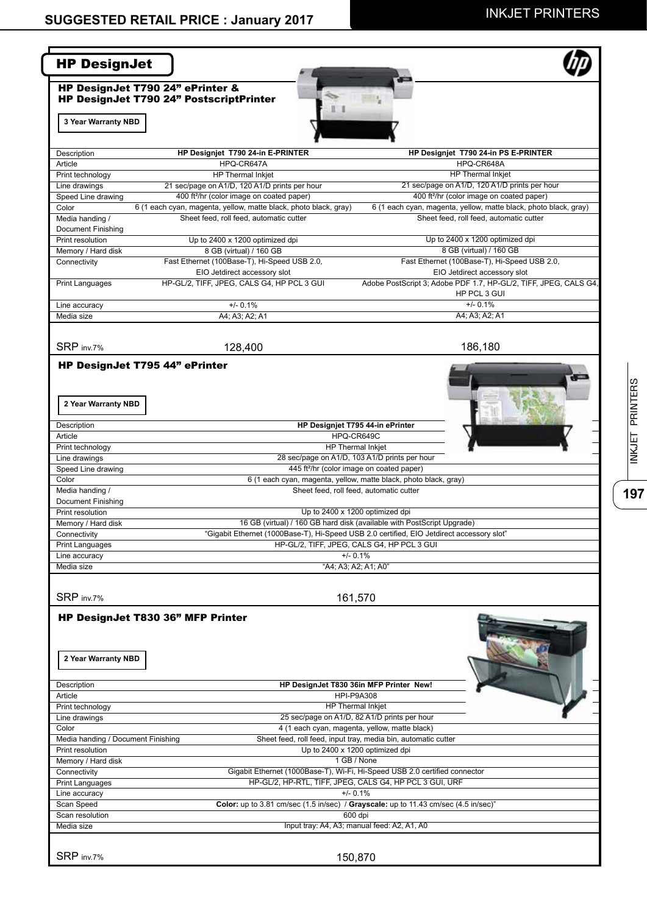| <b>HP DesignJet</b>                                      |                                                                                                             |                                                                                                                                                                     |
|----------------------------------------------------------|-------------------------------------------------------------------------------------------------------------|---------------------------------------------------------------------------------------------------------------------------------------------------------------------|
| HP DesignJet T790 24" ePrinter &                         | HP DesignJet T790 24" PostscriptPrinter                                                                     |                                                                                                                                                                     |
| 3 Year Warranty NBD                                      |                                                                                                             |                                                                                                                                                                     |
| Description                                              | HP Designjet T790 24-in E-PRINTER                                                                           | HP Designjet T790 24-in PS E-PRINTER                                                                                                                                |
| Article                                                  | HPQ-CR647A                                                                                                  | HPQ-CR648A                                                                                                                                                          |
| Print technology                                         | HP Thermal Inkjet                                                                                           | <b>HP Thermal Inkjet</b>                                                                                                                                            |
| Line drawings                                            | 21 sec/page on A1/D, 120 A1/D prints per hour                                                               | 21 sec/page on A1/D, 120 A1/D prints per hour                                                                                                                       |
| Speed Line drawing                                       | 400 ft <sup>2</sup> /hr (color image on coated paper)                                                       | 400 ft <sup>2</sup> /hr (color image on coated paper)                                                                                                               |
| Color<br>Media handing /<br>Document Finishing           | 6 (1 each cyan, magenta, yellow, matte black, photo black, gray)<br>Sheet feed, roll feed, automatic cutter | 6 (1 each cyan, magenta, yellow, matte black, photo black, gray)<br>Sheet feed, roll feed, automatic cutter                                                         |
| Print resolution                                         | Up to 2400 x 1200 optimized dpi                                                                             | Up to 2400 x 1200 optimized dpi                                                                                                                                     |
| Memory / Hard disk                                       | 8 GB (virtual) / 160 GB                                                                                     | 8 GB (virtual) / 160 GB                                                                                                                                             |
| Connectivity                                             | Fast Ethernet (100Base-T), Hi-Speed USB 2.0,                                                                | Fast Ethernet (100Base-T), Hi-Speed USB 2.0,                                                                                                                        |
|                                                          | EIO Jetdirect accessory slot                                                                                | EIO Jetdirect accessory slot                                                                                                                                        |
| <b>Print Languages</b>                                   | HP-GL/2, TIFF, JPEG, CALS G4, HP PCL 3 GUI                                                                  | Adobe PostScript 3; Adobe PDF 1.7, HP-GL/2, TIFF, JPEG, CALS G4,                                                                                                    |
|                                                          |                                                                                                             | HP PCL 3 GUI                                                                                                                                                        |
| Line accuracy                                            | $+/- 0.1%$                                                                                                  | $+/- 0.1%$                                                                                                                                                          |
| Media size                                               | A4; A3; A2; A1                                                                                              | A4; A3; A2; A1                                                                                                                                                      |
| SRP inv.7%                                               | 128,400                                                                                                     | 186,180                                                                                                                                                             |
| HP DesignJet T795 44" ePrinter                           |                                                                                                             |                                                                                                                                                                     |
|                                                          |                                                                                                             |                                                                                                                                                                     |
| 2 Year Warranty NBD                                      |                                                                                                             |                                                                                                                                                                     |
| Description                                              |                                                                                                             | HP Designjet T795 44-in ePrinter                                                                                                                                    |
| Article                                                  |                                                                                                             | HPQ-CR649C                                                                                                                                                          |
| Print technology                                         |                                                                                                             | <b>HP Thermal Inkjet</b>                                                                                                                                            |
| Line drawings                                            |                                                                                                             | 28 sec/page on A1/D, 103 A1/D prints per hour                                                                                                                       |
| Speed Line drawing                                       |                                                                                                             | 445 ft <sup>2</sup> /hr (color image on coated paper)                                                                                                               |
| Color                                                    |                                                                                                             | 6 (1 each cyan, magenta, yellow, matte black, photo black, gray)                                                                                                    |
| Media handing /                                          |                                                                                                             | Sheet feed, roll feed, automatic cutter                                                                                                                             |
| Document Finishing                                       |                                                                                                             |                                                                                                                                                                     |
| Print resolution                                         |                                                                                                             | Up to 2400 x 1200 optimized dpi                                                                                                                                     |
| Memory / Hard disk<br>Connectivity                       |                                                                                                             | 16 GB (virtual) / 160 GB hard disk (available with PostScript Upgrade)<br>"Gigabit Ethernet (1000Base-T), Hi-Speed USB 2.0 certified, EIO Jetdirect accessory slot" |
| <b>Print Languages</b>                                   |                                                                                                             | HP-GL/2, TIFF, JPEG, CALS G4, HP PCL 3 GUI                                                                                                                          |
| Line accuracy                                            |                                                                                                             | $+/- 0.1%$                                                                                                                                                          |
| Media size                                               |                                                                                                             | "A4; A3; A2; A1; A0"                                                                                                                                                |
|                                                          |                                                                                                             |                                                                                                                                                                     |
| SRP inv.7%                                               |                                                                                                             | 161,570                                                                                                                                                             |
| HP DesignJet T830 36" MFP Printer<br>2 Year Warranty NBD |                                                                                                             |                                                                                                                                                                     |
| Description                                              |                                                                                                             | HP DesignJet T830 36in MFP Printer New!                                                                                                                             |
| Article                                                  |                                                                                                             | <b>HPI-P9A308</b>                                                                                                                                                   |
| Print technology                                         |                                                                                                             | HP Thermal Inkjet                                                                                                                                                   |
| Line drawings                                            |                                                                                                             | 25 sec/page on A1/D, 82 A1/D prints per hour                                                                                                                        |
| Color                                                    |                                                                                                             | 4 (1 each cyan, magenta, yellow, matte black)                                                                                                                       |
| Media handing / Document Finishing                       |                                                                                                             | Sheet feed, roll feed, input tray, media bin, automatic cutter                                                                                                      |
| Print resolution                                         |                                                                                                             | Up to 2400 x 1200 optimized dpi                                                                                                                                     |
| Memory / Hard disk                                       |                                                                                                             | 1 GB / None                                                                                                                                                         |
| Connectivity                                             |                                                                                                             | Gigabit Ethernet (1000Base-T), Wi-Fi, Hi-Speed USB 2.0 certified connector                                                                                          |
| <b>Print Languages</b>                                   |                                                                                                             | HP-GL/2, HP-RTL, TIFF, JPEG, CALS G4, HP PCL 3 GUI, URF                                                                                                             |
| Line accuracy                                            |                                                                                                             | $+/- 0.1%$                                                                                                                                                          |
| Scan Speed                                               |                                                                                                             | Color: up to 3.81 cm/sec (1.5 in/sec) / Grayscale: up to 11.43 cm/sec (4.5 in/sec)'                                                                                 |
| Scan resolution                                          |                                                                                                             | 600 dpi                                                                                                                                                             |
| Media size                                               |                                                                                                             | Input tray: A4, A3; manual feed: A2, A1, A0                                                                                                                         |
|                                                          |                                                                                                             |                                                                                                                                                                     |
| SRP inv.7%                                               |                                                                                                             | 150,870                                                                                                                                                             |

 $\overline{197}$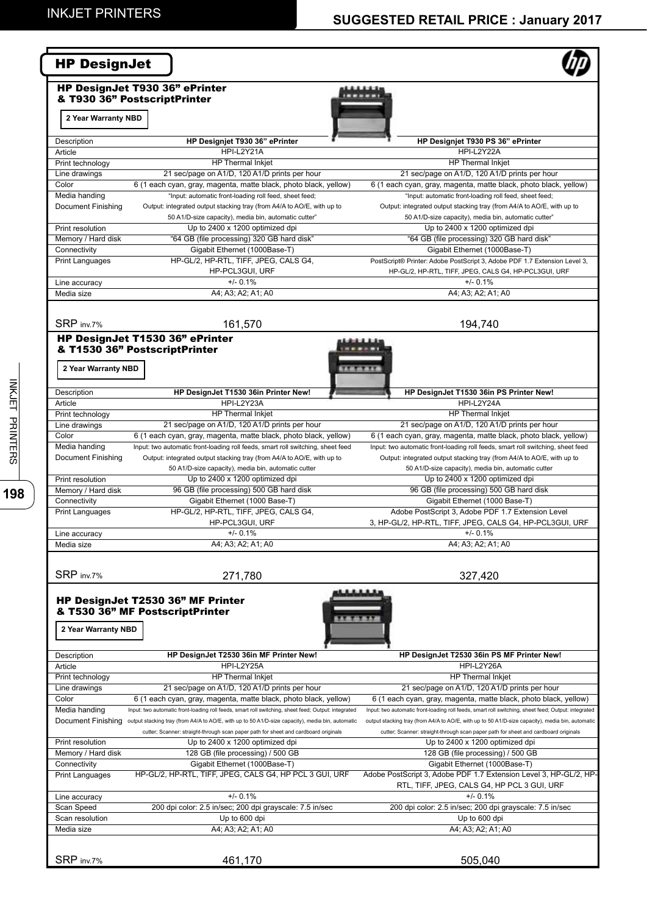| <b>HP DesignJet</b>                                            |                                                                                                                     |                                                                                                     |
|----------------------------------------------------------------|---------------------------------------------------------------------------------------------------------------------|-----------------------------------------------------------------------------------------------------|
| HP DesignJet T930 36" ePrinter<br>& T930 36" PostscriptPrinter |                                                                                                                     |                                                                                                     |
| 2 Year Warranty NBD                                            |                                                                                                                     |                                                                                                     |
| Description                                                    | HP Designjet T930 36" ePrinter                                                                                      | HP Designjet T930 PS 36" ePrinter                                                                   |
| Article                                                        | HPI-L2Y21A                                                                                                          | HPI-L2Y22A                                                                                          |
| Print technology                                               | <b>HP Thermal Inkiet</b>                                                                                            | <b>HP</b> Thermal Inkiet                                                                            |
| Line drawings                                                  | 21 sec/page on A1/D, 120 A1/D prints per hour                                                                       | 21 sec/page on A1/D, 120 A1/D prints per hour                                                       |
| Color                                                          | 6 (1 each cyan, gray, magenta, matte black, photo black, yellow)                                                    | 6 (1 each cyan, gray, magenta, matte black, photo black, yellow)                                    |
|                                                                | "Input: automatic front-loading roll feed, sheet feed;                                                              |                                                                                                     |
| Media handing                                                  |                                                                                                                     | "Input: automatic front-loading roll feed, sheet feed;                                              |
| Document Finishing                                             | Output: integrated output stacking tray (from A4/A to AO/E, with up to                                              | Output: integrated output stacking tray (from A4/A to AO/E, with up to                              |
|                                                                | 50 A1/D-size capacity), media bin, automatic cutter"                                                                | 50 A1/D-size capacity), media bin, automatic cutter"                                                |
| Print resolution                                               | Up to 2400 x 1200 optimized dpi                                                                                     | Up to 2400 x 1200 optimized dpi                                                                     |
| Memory / Hard disk                                             | "64 GB (file processing) 320 GB hard disk"                                                                          | "64 GB (file processing) 320 GB hard disk"                                                          |
| Connectivity                                                   | Gigabit Ethernet (1000Base-T)                                                                                       | Gigabit Ethernet (1000Base-T)                                                                       |
| Print Languages                                                | HP-GL/2, HP-RTL, TIFF, JPEG, CALS G4,                                                                               | PostScript® Printer: Adobe PostScript 3, Adobe PDF 1.7 Extension Level 3,                           |
|                                                                | HP-PCL3GUI, URF                                                                                                     | HP-GL/2, HP-RTL, TIFF, JPEG, CALS G4, HP-PCL3GUI, URF                                               |
| Line accuracy                                                  | $+/- 0.1%$                                                                                                          | $+/- 0.1%$                                                                                          |
| Media size                                                     | A4; A3; A2; A1; A0                                                                                                  | A4; A3; A2; A1; A0                                                                                  |
| SRP inv 7%                                                     | 161,570                                                                                                             | 194,740                                                                                             |
|                                                                | HP DesignJet T1530 36" ePrinter                                                                                     |                                                                                                     |
| & T1530 36" PostscriptPrinter                                  |                                                                                                                     |                                                                                                     |
| 2 Year Warranty NBD                                            |                                                                                                                     |                                                                                                     |
| Description                                                    | HP DesignJet T1530 36in Printer New!                                                                                | HP DesignJet T1530 36in PS Printer New!                                                             |
| Article                                                        | HPI-L2Y23A                                                                                                          | HPI-L2Y24A                                                                                          |
| Print technology                                               | HP Thermal Inkjet                                                                                                   | HP Thermal Inkjet                                                                                   |
| Line drawings                                                  | 21 sec/page on A1/D, 120 A1/D prints per hour                                                                       | 21 sec/page on A1/D, 120 A1/D prints per hour                                                       |
| Color                                                          | 6 (1 each cyan, gray, magenta, matte black, photo black, yellow)                                                    | 6 (1 each cyan, gray, magenta, matte black, photo black, yellow)                                    |
| Media handing                                                  | Input: two automatic front-loading roll feeds, smart roll switching, sheet feed                                     | Input: two automatic front-loading roll feeds, smart roll switching, sheet feed                     |
|                                                                |                                                                                                                     |                                                                                                     |
| Document Finishing                                             | Output: integrated output stacking tray (from A4/A to AO/E, with up to                                              | Output: integrated output stacking tray (from A4/A to AO/E, with up to                              |
|                                                                | 50 A1/D-size capacity), media bin, automatic cutter<br>Up to 2400 x 1200 optimized dpi                              | 50 A1/D-size capacity), media bin, automatic cutter                                                 |
| Print resolution<br>Memory / Hard disk                         |                                                                                                                     | Up to 2400 x 1200 optimized dpi<br>96 GB (file processing) 500 GB hard disk                         |
|                                                                | 96 GB (file processing) 500 GB hard disk                                                                            | Gigabit Ethernet (1000 Base-T)                                                                      |
| Connectivity                                                   | Gigabit Ethernet (1000 Base-T)                                                                                      |                                                                                                     |
| <b>Print Languages</b>                                         | HP-GL/2, HP-RTL, TIFF, JPEG, CALS G4,                                                                               | Adobe PostScript 3, Adobe PDF 1.7 Extension Level                                                   |
|                                                                | HP-PCL3GUI, URF                                                                                                     | 3, HP-GL/2, HP-RTL, TIFF, JPEG, CALS G4, HP-PCL3GUI, URF                                            |
| Line accuracy                                                  | $+/- 0.1%$                                                                                                          | $+/- 0.1%$                                                                                          |
| Media size                                                     | A4; A3; A2; A1; A0                                                                                                  | A4; A3; A2; A1; A0                                                                                  |
| SRP inv.7%                                                     | 271,780                                                                                                             | 327,420                                                                                             |
| 2 Year Warranty NBD                                            | HP DesignJet T2530 36" MF Printer<br>& T530 36" MF PostscriptPrinter                                                |                                                                                                     |
| Description                                                    | HP DesignJet T2530 36in MF Printer New!                                                                             | HP DesignJet T2530 36in PS MF Printer New!                                                          |
| Article                                                        | HPI-L2Y25A                                                                                                          | HPI-L2Y26A                                                                                          |
| Print technology                                               | <b>HP</b> Thermal Inkjet                                                                                            | HP Thermal Inkjet                                                                                   |
| Line drawings                                                  | 21 sec/page on A1/D, 120 A1/D prints per hour                                                                       | 21 sec/page on A1/D, 120 A1/D prints per hour                                                       |
| Color                                                          | 6 (1 each cyan, gray, magenta, matte black, photo black, yellow)                                                    | 6 (1 each cyan, gray, magenta, matte black, photo black, yellow)                                    |
| Media handing                                                  | Input: two automatic front-loading roll feeds, smart roll switching, sheet feed; Output: integrated                 | Input: two automatic front-loading roll feeds, smart roll switching, sheet feed; Output: integrated |
|                                                                | Document Finishing output stacking tray (from A4/A to AO/E, with up to 50 A1/D-size capacity), media bin, automatic | output stacking tray (from A4/A to AO/E, with up to 50 A1/D-size capacity), media bin, automatic    |
|                                                                | cutter; Scanner: straight-through scan paper path for sheet and cardboard originals                                 | cutter; Scanner: straight-through scan paper path for sheet and cardboard originals                 |
| Print resolution                                               | Up to 2400 x 1200 optimized dpi                                                                                     | Up to 2400 x 1200 optimized dpi                                                                     |
| Memory / Hard disk                                             | 128 GB (file processing) / 500 GB                                                                                   | 128 GB (file processing) / 500 GB                                                                   |
| Connectivity                                                   | Gigabit Ethernet (1000Base-T)                                                                                       | Gigabit Ethernet (1000Base-T)                                                                       |
| Print Languages                                                | HP-GL/2, HP-RTL, TIFF, JPEG, CALS G4, HP PCL 3 GUI, URF                                                             | Adobe PostScript 3, Adobe PDF 1.7 Extension Level 3, HP-GL/2, HP-                                   |
|                                                                |                                                                                                                     | RTL, TIFF, JPEG, CALS G4, HP PCL 3 GUI, URF                                                         |
| Line accuracy                                                  | $+/- 0.1%$                                                                                                          | $+/- 0.1%$                                                                                          |
| Scan Speed                                                     | 200 dpi color: 2.5 in/sec; 200 dpi grayscale: 7.5 in/sec                                                            | 200 dpi color: 2.5 in/sec; 200 dpi grayscale: 7.5 in/sec                                            |
|                                                                |                                                                                                                     | Up to 600 dpi                                                                                       |
|                                                                | Up to 600 dpi                                                                                                       |                                                                                                     |
|                                                                | A4; A3; A2; A1; A0                                                                                                  | A4; A3; A2; A1; A0                                                                                  |
|                                                                |                                                                                                                     |                                                                                                     |
| Scan resolution<br>Media size<br>SRP inv.7%                    | 461,170                                                                                                             | 505,040                                                                                             |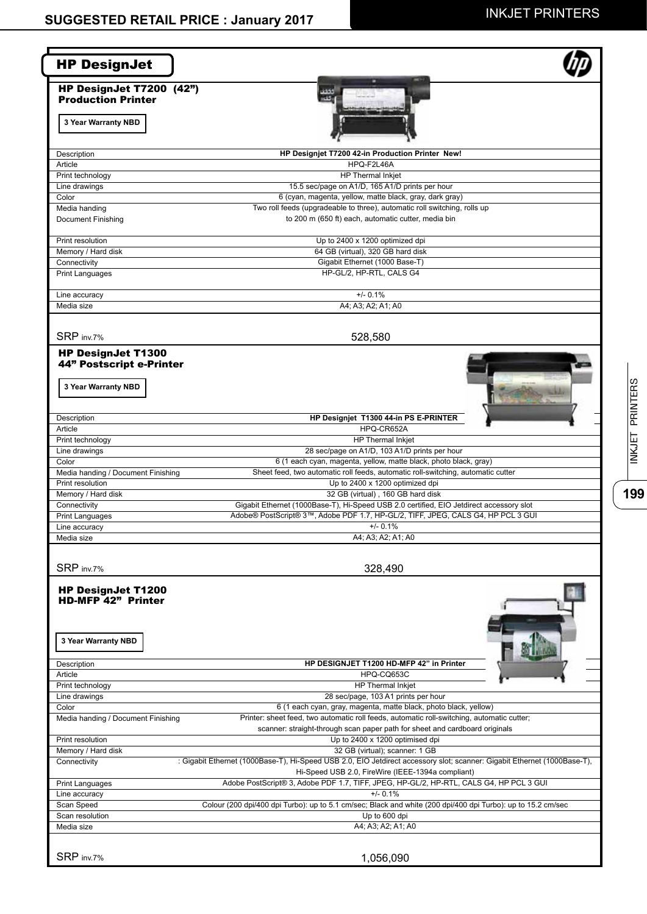**199**INKJET PRINTERS

199

INKJET PRINTERS

| HP DesignJet T7200 (42")<br><b>Production Printer</b><br>3 Year Warranty NBD<br>Description<br>Article<br>Print technology<br>Line drawings<br>Color<br>Media handing<br>Document Finishing<br>Print resolution<br>Memory / Hard disk<br>Connectivity<br><b>Print Languages</b><br>Line accuracy<br>Media size<br>SRP inv.7%<br><b>HP DesignJet T1300</b><br>44" Postscript e-Printer<br>3 Year Warranty NBD<br>Description<br>Article<br>Print technology<br>Line drawings<br>Color<br>Media handing / Document Finishing<br>Print resolution<br>Memory / Hard disk<br>Connectivity<br><b>Print Languages</b><br>Line accuracy<br>Media size<br>SRP inv.7%<br><b>HP DesignJet T1200</b><br><b>HD-MFP 42" Printer</b><br>3 Year Warranty NBD<br>Description<br>Article<br>Print technology<br>Line drawings<br>Color<br>Media handing / Document Finishing<br>Print resolution<br>Memory / Hard disk<br>Connectivity<br>Print Languages | فقفف<br>- 3                                                                                                                                                    |
|-----------------------------------------------------------------------------------------------------------------------------------------------------------------------------------------------------------------------------------------------------------------------------------------------------------------------------------------------------------------------------------------------------------------------------------------------------------------------------------------------------------------------------------------------------------------------------------------------------------------------------------------------------------------------------------------------------------------------------------------------------------------------------------------------------------------------------------------------------------------------------------------------------------------------------------------|----------------------------------------------------------------------------------------------------------------------------------------------------------------|
|                                                                                                                                                                                                                                                                                                                                                                                                                                                                                                                                                                                                                                                                                                                                                                                                                                                                                                                                         |                                                                                                                                                                |
|                                                                                                                                                                                                                                                                                                                                                                                                                                                                                                                                                                                                                                                                                                                                                                                                                                                                                                                                         |                                                                                                                                                                |
|                                                                                                                                                                                                                                                                                                                                                                                                                                                                                                                                                                                                                                                                                                                                                                                                                                                                                                                                         |                                                                                                                                                                |
|                                                                                                                                                                                                                                                                                                                                                                                                                                                                                                                                                                                                                                                                                                                                                                                                                                                                                                                                         |                                                                                                                                                                |
|                                                                                                                                                                                                                                                                                                                                                                                                                                                                                                                                                                                                                                                                                                                                                                                                                                                                                                                                         | HP Designjet T7200 42-in Production Printer New!                                                                                                               |
|                                                                                                                                                                                                                                                                                                                                                                                                                                                                                                                                                                                                                                                                                                                                                                                                                                                                                                                                         | HPQ-F2L46A                                                                                                                                                     |
|                                                                                                                                                                                                                                                                                                                                                                                                                                                                                                                                                                                                                                                                                                                                                                                                                                                                                                                                         | HP Thermal Inkjet<br>15.5 sec/page on A1/D, 165 A1/D prints per hour                                                                                           |
|                                                                                                                                                                                                                                                                                                                                                                                                                                                                                                                                                                                                                                                                                                                                                                                                                                                                                                                                         | 6 (cyan, magenta, yellow, matte black, gray, dark gray)                                                                                                        |
|                                                                                                                                                                                                                                                                                                                                                                                                                                                                                                                                                                                                                                                                                                                                                                                                                                                                                                                                         | Two roll feeds (upgradeable to three), automatic roll switching, rolls up                                                                                      |
|                                                                                                                                                                                                                                                                                                                                                                                                                                                                                                                                                                                                                                                                                                                                                                                                                                                                                                                                         | to 200 m (650 ft) each, automatic cutter, media bin                                                                                                            |
|                                                                                                                                                                                                                                                                                                                                                                                                                                                                                                                                                                                                                                                                                                                                                                                                                                                                                                                                         | Up to 2400 x 1200 optimized dpi                                                                                                                                |
|                                                                                                                                                                                                                                                                                                                                                                                                                                                                                                                                                                                                                                                                                                                                                                                                                                                                                                                                         | 64 GB (virtual), 320 GB hard disk                                                                                                                              |
|                                                                                                                                                                                                                                                                                                                                                                                                                                                                                                                                                                                                                                                                                                                                                                                                                                                                                                                                         | Gigabit Ethernet (1000 Base-T)<br>HP-GL/2, HP-RTL, CALS G4                                                                                                     |
|                                                                                                                                                                                                                                                                                                                                                                                                                                                                                                                                                                                                                                                                                                                                                                                                                                                                                                                                         |                                                                                                                                                                |
|                                                                                                                                                                                                                                                                                                                                                                                                                                                                                                                                                                                                                                                                                                                                                                                                                                                                                                                                         | $+/- 0.1%$<br>A4; A3; A2; A1; A0                                                                                                                               |
|                                                                                                                                                                                                                                                                                                                                                                                                                                                                                                                                                                                                                                                                                                                                                                                                                                                                                                                                         |                                                                                                                                                                |
|                                                                                                                                                                                                                                                                                                                                                                                                                                                                                                                                                                                                                                                                                                                                                                                                                                                                                                                                         | 528,580                                                                                                                                                        |
|                                                                                                                                                                                                                                                                                                                                                                                                                                                                                                                                                                                                                                                                                                                                                                                                                                                                                                                                         |                                                                                                                                                                |
|                                                                                                                                                                                                                                                                                                                                                                                                                                                                                                                                                                                                                                                                                                                                                                                                                                                                                                                                         |                                                                                                                                                                |
|                                                                                                                                                                                                                                                                                                                                                                                                                                                                                                                                                                                                                                                                                                                                                                                                                                                                                                                                         |                                                                                                                                                                |
|                                                                                                                                                                                                                                                                                                                                                                                                                                                                                                                                                                                                                                                                                                                                                                                                                                                                                                                                         |                                                                                                                                                                |
|                                                                                                                                                                                                                                                                                                                                                                                                                                                                                                                                                                                                                                                                                                                                                                                                                                                                                                                                         |                                                                                                                                                                |
|                                                                                                                                                                                                                                                                                                                                                                                                                                                                                                                                                                                                                                                                                                                                                                                                                                                                                                                                         | HP Designjet T1300 44-in PS E-PRINTER                                                                                                                          |
|                                                                                                                                                                                                                                                                                                                                                                                                                                                                                                                                                                                                                                                                                                                                                                                                                                                                                                                                         | HPQ-CR652A                                                                                                                                                     |
|                                                                                                                                                                                                                                                                                                                                                                                                                                                                                                                                                                                                                                                                                                                                                                                                                                                                                                                                         | HP Thermal Inkjet                                                                                                                                              |
|                                                                                                                                                                                                                                                                                                                                                                                                                                                                                                                                                                                                                                                                                                                                                                                                                                                                                                                                         | 28 sec/page on A1/D, 103 A1/D prints per hour                                                                                                                  |
|                                                                                                                                                                                                                                                                                                                                                                                                                                                                                                                                                                                                                                                                                                                                                                                                                                                                                                                                         | 6 (1 each cyan, magenta, yellow, matte black, photo black, gray)                                                                                               |
|                                                                                                                                                                                                                                                                                                                                                                                                                                                                                                                                                                                                                                                                                                                                                                                                                                                                                                                                         | Sheet feed, two automatic roll feeds, automatic roll-switching, automatic cutter<br>Up to 2400 x 1200 optimized dpi                                            |
|                                                                                                                                                                                                                                                                                                                                                                                                                                                                                                                                                                                                                                                                                                                                                                                                                                                                                                                                         | 32 GB (virtual), 160 GB hard disk                                                                                                                              |
|                                                                                                                                                                                                                                                                                                                                                                                                                                                                                                                                                                                                                                                                                                                                                                                                                                                                                                                                         | Gigabit Ethernet (1000Base-T), Hi-Speed USB 2.0 certified, EIO Jetdirect accessory slot                                                                        |
|                                                                                                                                                                                                                                                                                                                                                                                                                                                                                                                                                                                                                                                                                                                                                                                                                                                                                                                                         | Adobe® PostScript® 3™, Adobe PDF 1.7, HP-GL/2, TIFF, JPEG, CALS G4, HP PCL 3 GUI                                                                               |
|                                                                                                                                                                                                                                                                                                                                                                                                                                                                                                                                                                                                                                                                                                                                                                                                                                                                                                                                         | $+/- 0.1%$                                                                                                                                                     |
|                                                                                                                                                                                                                                                                                                                                                                                                                                                                                                                                                                                                                                                                                                                                                                                                                                                                                                                                         | A4; A3; A2; A1; A0                                                                                                                                             |
|                                                                                                                                                                                                                                                                                                                                                                                                                                                                                                                                                                                                                                                                                                                                                                                                                                                                                                                                         | 328,490                                                                                                                                                        |
|                                                                                                                                                                                                                                                                                                                                                                                                                                                                                                                                                                                                                                                                                                                                                                                                                                                                                                                                         |                                                                                                                                                                |
|                                                                                                                                                                                                                                                                                                                                                                                                                                                                                                                                                                                                                                                                                                                                                                                                                                                                                                                                         |                                                                                                                                                                |
|                                                                                                                                                                                                                                                                                                                                                                                                                                                                                                                                                                                                                                                                                                                                                                                                                                                                                                                                         |                                                                                                                                                                |
|                                                                                                                                                                                                                                                                                                                                                                                                                                                                                                                                                                                                                                                                                                                                                                                                                                                                                                                                         |                                                                                                                                                                |
|                                                                                                                                                                                                                                                                                                                                                                                                                                                                                                                                                                                                                                                                                                                                                                                                                                                                                                                                         |                                                                                                                                                                |
|                                                                                                                                                                                                                                                                                                                                                                                                                                                                                                                                                                                                                                                                                                                                                                                                                                                                                                                                         |                                                                                                                                                                |
|                                                                                                                                                                                                                                                                                                                                                                                                                                                                                                                                                                                                                                                                                                                                                                                                                                                                                                                                         | HP DESIGNJET T1200 HD-MFP 42" in Printer                                                                                                                       |
|                                                                                                                                                                                                                                                                                                                                                                                                                                                                                                                                                                                                                                                                                                                                                                                                                                                                                                                                         | HPQ-CQ653C                                                                                                                                                     |
|                                                                                                                                                                                                                                                                                                                                                                                                                                                                                                                                                                                                                                                                                                                                                                                                                                                                                                                                         | <b>HP Thermal Inkjet</b>                                                                                                                                       |
|                                                                                                                                                                                                                                                                                                                                                                                                                                                                                                                                                                                                                                                                                                                                                                                                                                                                                                                                         | 28 sec/page, 103 A1 prints per hour                                                                                                                            |
|                                                                                                                                                                                                                                                                                                                                                                                                                                                                                                                                                                                                                                                                                                                                                                                                                                                                                                                                         | 6 (1 each cyan, gray, magenta, matte black, photo black, yellow)<br>Printer: sheet feed, two automatic roll feeds, automatic roll-switching, automatic cutter; |
|                                                                                                                                                                                                                                                                                                                                                                                                                                                                                                                                                                                                                                                                                                                                                                                                                                                                                                                                         | scanner: straight-through scan paper path for sheet and cardboard originals                                                                                    |
|                                                                                                                                                                                                                                                                                                                                                                                                                                                                                                                                                                                                                                                                                                                                                                                                                                                                                                                                         | Up to 2400 x 1200 optimised dpi                                                                                                                                |
|                                                                                                                                                                                                                                                                                                                                                                                                                                                                                                                                                                                                                                                                                                                                                                                                                                                                                                                                         | 32 GB (virtual); scanner: 1 GB                                                                                                                                 |
|                                                                                                                                                                                                                                                                                                                                                                                                                                                                                                                                                                                                                                                                                                                                                                                                                                                                                                                                         | : Gigabit Ethernet (1000Base-T), Hi-Speed USB 2.0, EIO Jetdirect accessory slot; scanner: Gigabit Ethernet (1000Base-T),                                       |
|                                                                                                                                                                                                                                                                                                                                                                                                                                                                                                                                                                                                                                                                                                                                                                                                                                                                                                                                         | Hi-Speed USB 2.0, FireWire (IEEE-1394a compliant)                                                                                                              |
|                                                                                                                                                                                                                                                                                                                                                                                                                                                                                                                                                                                                                                                                                                                                                                                                                                                                                                                                         | Adobe PostScript® 3, Adobe PDF 1.7, TIFF, JPEG, HP-GL/2, HP-RTL, CALS G4, HP PCL 3 GUI<br>$+/- 0.1%$                                                           |
| Line accuracy<br>Scan Speed                                                                                                                                                                                                                                                                                                                                                                                                                                                                                                                                                                                                                                                                                                                                                                                                                                                                                                             | Colour (200 dpi/400 dpi Turbo): up to 5.1 cm/sec; Black and white (200 dpi/400 dpi Turbo): up to 15.2 cm/sec                                                   |
| Scan resolution                                                                                                                                                                                                                                                                                                                                                                                                                                                                                                                                                                                                                                                                                                                                                                                                                                                                                                                         | Up to 600 dpi                                                                                                                                                  |
| Media size                                                                                                                                                                                                                                                                                                                                                                                                                                                                                                                                                                                                                                                                                                                                                                                                                                                                                                                              | A4; A3; A2; A1; A0                                                                                                                                             |
|                                                                                                                                                                                                                                                                                                                                                                                                                                                                                                                                                                                                                                                                                                                                                                                                                                                                                                                                         |                                                                                                                                                                |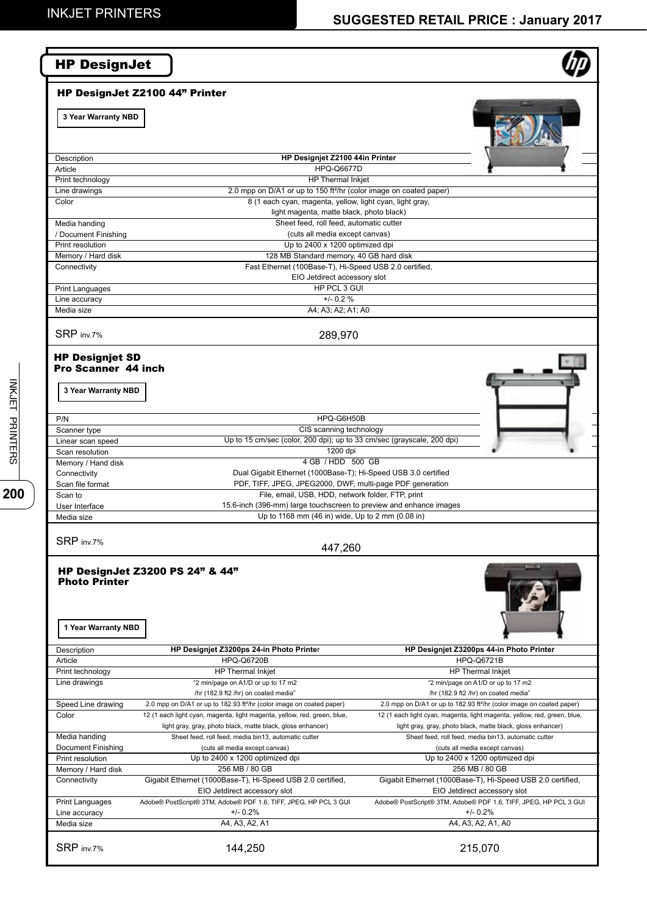# **SUGGESTED RETAIL PRICE : January 2017**

| <b>HP DesignJet</b>                                                         |                                                                                                                |                                                                                   |
|-----------------------------------------------------------------------------|----------------------------------------------------------------------------------------------------------------|-----------------------------------------------------------------------------------|
|                                                                             | HP DesignJet Z2100 44" Printer                                                                                 |                                                                                   |
| 3 Year Warranty NBD                                                         |                                                                                                                |                                                                                   |
| Description                                                                 | HP Designjet Z2100 44in Printer                                                                                |                                                                                   |
| Article                                                                     | <b>HPO-O6677D</b>                                                                                              |                                                                                   |
| Print technology                                                            | HP Thermal Inkjet                                                                                              |                                                                                   |
| Line drawings                                                               | 2.0 mpp on D/A1 or up to 150 ft <sup>2</sup> /hr (color image on coated paper)                                 |                                                                                   |
| Color                                                                       | 8 (1 each cyan, magenta, yellow, light cyan, light gray,                                                       |                                                                                   |
|                                                                             | light magenta, matte black, photo black)<br>Sheet feed, roll feed, automatic cutter                            |                                                                                   |
| Media handing<br>/ Document Finishing                                       | (cuts all media except canvas)                                                                                 |                                                                                   |
| Print resolution                                                            | Up to 2400 x 1200 optimized dpi                                                                                |                                                                                   |
| Memory / Hard disk                                                          | 128 MB Standard memory, 40 GB hard disk                                                                        |                                                                                   |
| Connectivity                                                                | Fast Ethernet (100Base-T), Hi-Speed USB 2.0 certified,                                                         |                                                                                   |
|                                                                             | EIO Jetdirect accessory slot                                                                                   |                                                                                   |
| <b>Print Languages</b>                                                      | HP PCL 3 GUI                                                                                                   |                                                                                   |
| Line accuracy<br>Media size                                                 | $+/- 0.2 %$<br>A4; A3; A2; A1; A0                                                                              |                                                                                   |
|                                                                             |                                                                                                                |                                                                                   |
| SRP inv.7%                                                                  | 289,970                                                                                                        |                                                                                   |
| <b>HP Designjet SD</b><br><b>Pro Scanner 44 inch</b><br>3 Year Warranty NBD |                                                                                                                |                                                                                   |
| P/N                                                                         | HPQ-G6H50B                                                                                                     |                                                                                   |
| Scanner type                                                                | CIS scanning technology                                                                                        |                                                                                   |
| Linear scan speed                                                           | Up to 15 cm/sec (color, 200 dpi); up to 33 cm/sec (grayscale, 200 dpi)                                         |                                                                                   |
| Scan resolution                                                             | 1200 dpi                                                                                                       |                                                                                   |
| Memory / Hand disk                                                          | 4 GB / HDD 500 GB                                                                                              |                                                                                   |
| Connectivity                                                                | Dual Gigabit Ethernet (1000Base-T); Hi-Speed USB 3.0 certified                                                 |                                                                                   |
| Scan file format                                                            | PDF, TIFF, JPEG, JPEG2000, DWF, multi-page PDF generation<br>File, email, USB, HDD, network folder, FTP, print |                                                                                   |
| Scan to<br>User Interface                                                   | 15.6-inch (396-mm) large touchscreen to preview and enhance images                                             |                                                                                   |
| Media size                                                                  | Up to 1168 mm (46 in) wide, Up to 2 mm (0.08 in)                                                               |                                                                                   |
| SRP inv.7%                                                                  | 447,260                                                                                                        |                                                                                   |
| <b>Photo Printer</b><br>1 Year Warranty NBD                                 | <b>HP DesignJet Z3200 PS 24" &amp; 44"</b>                                                                     |                                                                                   |
| Description                                                                 | HP Designjet Z3200ps 24-in Photo Printer                                                                       | HP Designjet Z3200ps 44-in Photo Printer                                          |
| Article                                                                     | <b>HPQ-Q6720B</b>                                                                                              | <b>HPQ-Q6721B</b>                                                                 |
| Print technology<br>Line drawings                                           | HP Thermal Inkjet<br>"2 min/page on A1/D or up to 17 m2                                                        | HP Thermal Inkjet<br>"2 min/page on A1/D or up to 17 m2                           |
|                                                                             | /hr (182.9 ft2 /hr) on coated media"                                                                           | /hr (182.9 ft2 /hr) on coated media"                                              |
| Speed Line drawing                                                          | 2.0 mpp on D/A1 or up to 182.93 ft <sup>2</sup> /hr (color image on coated paper)                              | 2.0 mpp on D/A1 or up to 182.93 ft <sup>2</sup> /hr (color image on coated paper) |
| Color                                                                       | 12 (1 each light cyan, magenta, light magenta, yellow, red, green, blue,                                       | 12 (1 each light cyan, magenta, light magenta, yellow, red, green, blue,          |
|                                                                             | light gray, gray, photo black, matte black, gloss enhancer)                                                    | light gray, gray, photo black, matte black, gloss enhancer)                       |
| Media handing                                                               | Sheet feed, roll feed, media bin13, automatic cutter                                                           | Sheet feed, roll feed, media bin13, automatic cutter                              |
| Document Finishing<br>Print resolution                                      | (cuts all media except canvas)<br>Up to 2400 x 1200 optimized dpi                                              | (cuts all media except canvas)<br>Up to 2400 x 1200 optimized dpi                 |
| Memory / Hard disk                                                          | 256 MB / 80 GB                                                                                                 | 256 MB / 80 GB                                                                    |
| Connectivity                                                                | Gigabit Ethernet (1000Base-T), Hi-Speed USB 2.0 certified,                                                     | Gigabit Ethernet (1000Base-T), Hi-Speed USB 2.0 certified,                        |
|                                                                             | EIO Jetdirect accessory slot                                                                                   | EIO Jetdirect accessory slot                                                      |
| Print Languages                                                             | Adobe® PostScript® 3TM, Adobe® PDF 1.6, TIFF, JPEG, HP PCL 3 GUI                                               | Adobe® PostScript® 3TM, Adobe® PDF 1.6, TIFF, JPEG, HP PCL 3 GUI                  |
| Line accuracy                                                               | $+/- 0.2%$                                                                                                     | $+/- 0.2%$                                                                        |
| Media size                                                                  | A4, A3, A2, A1                                                                                                 | A4, A3, A2, A1, A0                                                                |
|                                                                             |                                                                                                                |                                                                                   |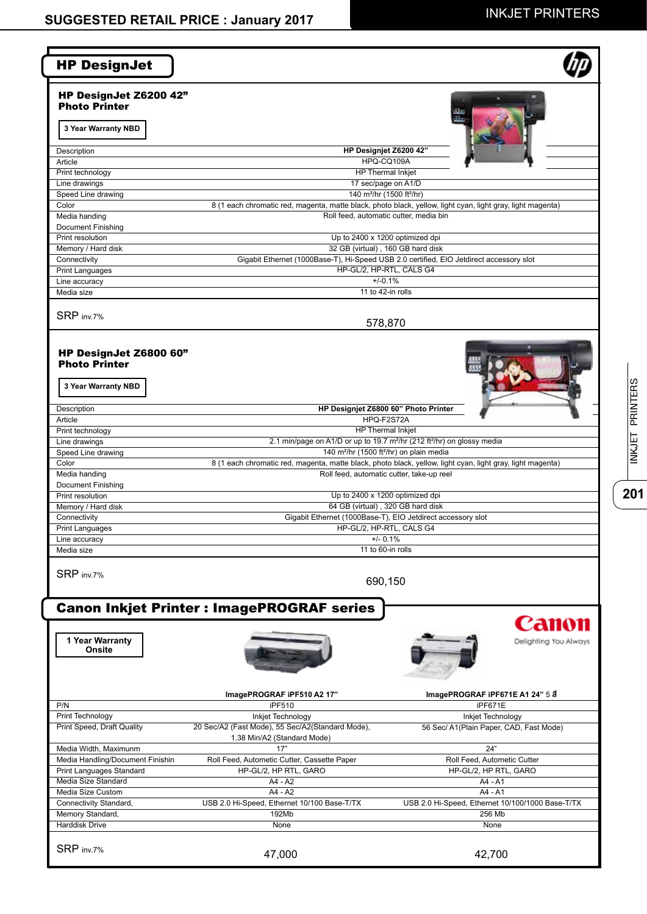**20 | INKJET PRINTERS** 

 $\overline{201}$ 

INKJET PRINTERS

| <b>HP DesignJet</b>                                                                        |                                                                                                                                                                                |                                                              |
|--------------------------------------------------------------------------------------------|--------------------------------------------------------------------------------------------------------------------------------------------------------------------------------|--------------------------------------------------------------|
| HP DesignJet Z6200 42"<br><b>Photo Printer</b>                                             |                                                                                                                                                                                |                                                              |
| 3 Year Warranty NBD                                                                        |                                                                                                                                                                                |                                                              |
| Description                                                                                | HP Designjet Z6200 42"                                                                                                                                                         |                                                              |
| Article<br>Print technology                                                                | HPQ-CQ109A<br>HP Thermal Inkjet                                                                                                                                                |                                                              |
| Line drawings                                                                              | 17 sec/page on A1/D                                                                                                                                                            |                                                              |
| Speed Line drawing                                                                         | 140 m <sup>2</sup> /hr (1500 ft <sup>2</sup> /hr)                                                                                                                              |                                                              |
| Color                                                                                      | 8 (1 each chromatic red, magenta, matte black, photo black, yellow, light cyan, light gray, light magenta)                                                                     |                                                              |
| Media handing                                                                              | Roll feed, automatic cutter, media bin                                                                                                                                         |                                                              |
| <b>Document Finishing</b><br>Print resolution                                              | Up to 2400 x 1200 optimized dpi                                                                                                                                                |                                                              |
| Memory / Hard disk                                                                         | 32 GB (virtual), 160 GB hard disk                                                                                                                                              |                                                              |
| Connectivity                                                                               | Gigabit Ethernet (1000Base-T), Hi-Speed USB 2.0 certified, EIO Jetdirect accessory slot                                                                                        |                                                              |
| Print Languages                                                                            | HP-GL/2, HP-RTL, CALS G4                                                                                                                                                       |                                                              |
| Line accuracy                                                                              | $+/-0.1%$                                                                                                                                                                      |                                                              |
| Media size                                                                                 | 11 to 42-in rolls                                                                                                                                                              |                                                              |
| SRP inv.7%                                                                                 | 578,870                                                                                                                                                                        |                                                              |
|                                                                                            |                                                                                                                                                                                |                                                              |
| HP DesignJet Z6800 60"                                                                     |                                                                                                                                                                                |                                                              |
| <b>Photo Printer</b>                                                                       |                                                                                                                                                                                |                                                              |
|                                                                                            |                                                                                                                                                                                |                                                              |
| 3 Year Warranty NBD                                                                        |                                                                                                                                                                                |                                                              |
| Description                                                                                | HP Designjet Z6800 60" Photo Printer                                                                                                                                           |                                                              |
| Article                                                                                    | HPQ-F2S72A                                                                                                                                                                     |                                                              |
| Print technology                                                                           | HP Thermal Inkjet                                                                                                                                                              |                                                              |
| Line drawings                                                                              | 2.1 min/page on A1/D or up to 19.7 m <sup>2</sup> /hr (212 ft <sup>2</sup> /hr) on glossy media                                                                                |                                                              |
| Speed Line drawing<br>Color                                                                | 140 m <sup>2</sup> /hr (1500 ft <sup>2</sup> /hr) on plain media<br>8 (1 each chromatic red, magenta, matte black, photo black, yellow, light cyan, light gray, light magenta) |                                                              |
| Media handing                                                                              | Roll feed, automatic cutter, take-up reel                                                                                                                                      |                                                              |
| <b>Document Finishing</b>                                                                  |                                                                                                                                                                                |                                                              |
| Print resolution                                                                           | Up to 2400 x 1200 optimized dpi                                                                                                                                                |                                                              |
| Memory / Hard disk                                                                         | 64 GB (virtual), 320 GB hard disk                                                                                                                                              |                                                              |
| Connectivity                                                                               | Gigabit Ethernet (1000Base-T), EIO Jetdirect accessory slot                                                                                                                    |                                                              |
| <b>Print Languages</b><br>Line accuracy                                                    | HP-GL/2, HP-RTL, CALS G4<br>$+/- 0.1%$                                                                                                                                         |                                                              |
| Media size                                                                                 | 11 to 60-in rolls                                                                                                                                                              |                                                              |
| SRP inv.7%                                                                                 | 690,150                                                                                                                                                                        |                                                              |
|                                                                                            |                                                                                                                                                                                |                                                              |
|                                                                                            | <b>Canon Inkjet Printer : ImagePROGRAF series</b>                                                                                                                              |                                                              |
|                                                                                            |                                                                                                                                                                                | Canon                                                        |
| 1 Year Warranty<br>Onsite                                                                  |                                                                                                                                                                                | Delighting You Always                                        |
|                                                                                            |                                                                                                                                                                                |                                                              |
|                                                                                            |                                                                                                                                                                                |                                                              |
|                                                                                            |                                                                                                                                                                                |                                                              |
|                                                                                            | ImagePROGRAF iPF510 A2 17"                                                                                                                                                     | ImagePROGRAF iPF671E A1 24" 5 8                              |
| P/N                                                                                        | iPF510                                                                                                                                                                         | iPF671E                                                      |
| Print Technology                                                                           | Inkjet Technology<br>20 Sec/A2 (Fast Mode), 55 Sec/A2(Standard Mode),                                                                                                          | Inkjet Technology<br>56 Sec/ A1(Plain Paper, CAD, Fast Mode) |
|                                                                                            |                                                                                                                                                                                |                                                              |
|                                                                                            |                                                                                                                                                                                |                                                              |
| Media Width, Maximunm                                                                      | 1.38 Min/A2 (Standard Mode)<br>17"                                                                                                                                             | 24"                                                          |
|                                                                                            | Roll Feed, Autometic Cutter, Cassette Paper                                                                                                                                    | Roll Feed, Autometic Cutter                                  |
| Print Speed, Draft Quality<br>Media Handling/Document Finishin<br>Print Languages Standard | HP-GL/2, HP RTL, GARO                                                                                                                                                          | HP-GL/2, HP RTL, GARO                                        |
| Media Size Standard                                                                        | A4 - A2                                                                                                                                                                        | A4 - A1                                                      |
| Media Size Custom                                                                          | A4 - A2                                                                                                                                                                        | A4 - A1                                                      |
|                                                                                            | USB 2.0 Hi-Speed, Ethernet 10/100 Base-T/TX                                                                                                                                    | USB 2.0 Hi-Speed, Ethernet 10/100/1000 Base-T/TX             |
| Connectivity Standard,<br>Memory Standard,                                                 | 192Mb                                                                                                                                                                          | 256 Mb                                                       |
| Harddisk Drive                                                                             | None                                                                                                                                                                           | None                                                         |
| SRP inv.7%                                                                                 | 47,000                                                                                                                                                                         | 42,700                                                       |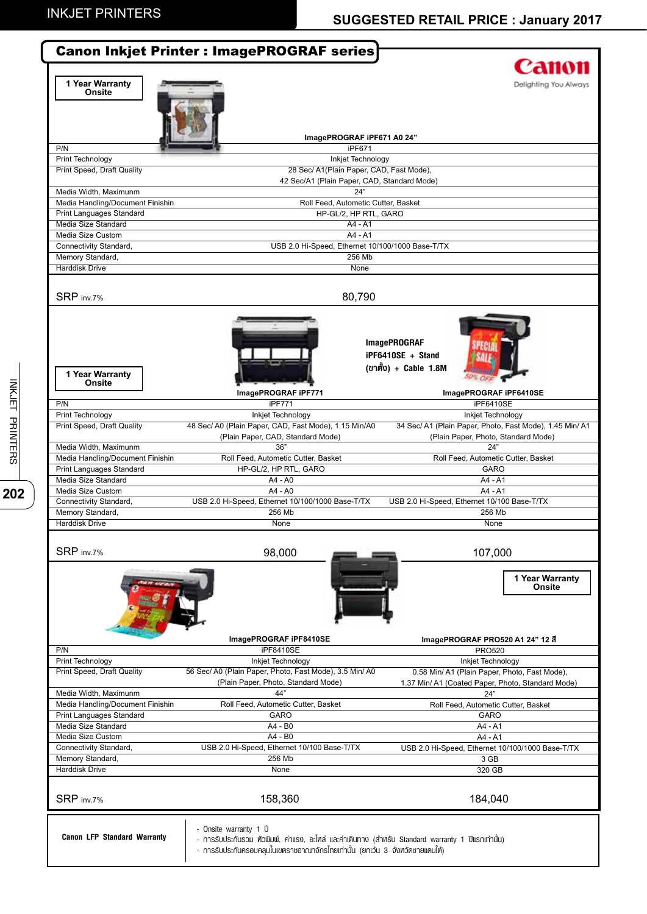|                                                       | <b>Canon Inkjet Printer : ImagePROGRAF series</b>                                                   |                                                          |
|-------------------------------------------------------|-----------------------------------------------------------------------------------------------------|----------------------------------------------------------|
|                                                       |                                                                                                     | Canon                                                    |
| 1 Year Warranty                                       |                                                                                                     | Delighting You Always                                    |
| Onsite                                                |                                                                                                     |                                                          |
|                                                       |                                                                                                     |                                                          |
|                                                       |                                                                                                     |                                                          |
|                                                       |                                                                                                     |                                                          |
|                                                       | ImagePROGRAF iPF671 A0 24"                                                                          |                                                          |
| P/N                                                   | iPF671                                                                                              |                                                          |
| Print Technology<br><b>Print Speed, Draft Quality</b> | Inkjet Technology<br>28 Sec/ A1(Plain Paper, CAD, Fast Mode),                                       |                                                          |
|                                                       | 42 Sec/A1 (Plain Paper, CAD, Standard Mode)                                                         |                                                          |
| Media Width, Maximunm                                 | 24"                                                                                                 |                                                          |
| Media Handling/Document Finishin                      | Roll Feed, Autometic Cutter, Basket                                                                 |                                                          |
| Print Languages Standard                              | HP-GL/2, HP RTL, GARO                                                                               |                                                          |
| Media Size Standard                                   | A4 - A1                                                                                             |                                                          |
| Media Size Custom                                     | A4 - A1                                                                                             |                                                          |
| Connectivity Standard,                                | USB 2.0 Hi-Speed, Ethernet 10/100/1000 Base-T/TX                                                    |                                                          |
| Memory Standard,                                      | 256 Mb                                                                                              |                                                          |
| Harddisk Drive                                        | None                                                                                                |                                                          |
|                                                       |                                                                                                     |                                                          |
|                                                       |                                                                                                     |                                                          |
| SRP inv.7%                                            | 80,790                                                                                              |                                                          |
|                                                       |                                                                                                     |                                                          |
|                                                       |                                                                                                     |                                                          |
|                                                       |                                                                                                     |                                                          |
|                                                       |                                                                                                     | <b>ImagePROGRAF</b>                                      |
|                                                       |                                                                                                     | iPF6410SE + Stand                                        |
|                                                       |                                                                                                     | (ขาตั้ง) + Cable 1.8M                                    |
| 1 Year Warranty<br>Onsite                             |                                                                                                     |                                                          |
|                                                       | ImagePROGRAF iPF771                                                                                 | ImagePROGRAF iPF6410SE                                   |
| P/N                                                   | iPF771                                                                                              | iPF6410SE                                                |
| Print Technology                                      | Inkjet Technology                                                                                   | Inkjet Technology                                        |
| Print Speed, Draft Quality                            | 48 Sec/ A0 (Plain Paper, CAD, Fast Mode), 1.15 Min/A0                                               | 34 Sec/ A1 (Plain Paper, Photo, Fast Mode), 1.45 Min/ A1 |
|                                                       | (Plain Paper, CAD, Standard Mode)                                                                   | (Plain Paper, Photo, Standard Mode)                      |
| Media Width, Maximunm                                 | 36"                                                                                                 | 24"                                                      |
| Media Handling/Document Finishin                      | Roll Feed, Autometic Cutter, Basket                                                                 | Roll Feed, Autometic Cutter, Basket                      |
| Print Languages Standard                              | HP-GL/2, HP RTL, GARO                                                                               | <b>GARO</b>                                              |
| Media Size Standard                                   | $AA - A0$                                                                                           | $AA - A1$                                                |
| Media Size Custom                                     | $AA - A0$                                                                                           | $AA - A1$                                                |
| Connectivity Standard,                                | USB 2.0 Hi-Speed, Ethernet 10/100/1000 Base-T/TX                                                    | USB 2.0 Hi-Speed, Ethernet 10/100 Base-T/TX              |
| Memory Standard,                                      | 256 Mb                                                                                              | 256 Mb                                                   |
| <b>Harddisk Drive</b>                                 | None                                                                                                | None                                                     |
|                                                       |                                                                                                     |                                                          |
|                                                       |                                                                                                     |                                                          |
| SRP inv.7%                                            | 98,000                                                                                              | 107,000                                                  |
|                                                       |                                                                                                     |                                                          |
|                                                       |                                                                                                     | 1 Year Warranty                                          |
|                                                       |                                                                                                     | <b>Onsite</b>                                            |
|                                                       |                                                                                                     |                                                          |
|                                                       |                                                                                                     |                                                          |
|                                                       |                                                                                                     |                                                          |
|                                                       | ImagePROGRAF iPF8410SE                                                                              | ImagePROGRAF PRO520 A1 24" 12 8                          |
| P/N                                                   | iPF8410SE                                                                                           | <b>PRO520</b>                                            |
| Print Technology                                      | Inkjet Technology                                                                                   | Inkjet Technology                                        |
| Print Speed, Draft Quality                            | 56 Sec/ A0 (Plain Paper, Photo, Fast Mode), 3.5 Min/ A0                                             | 0.58 Min/ A1 (Plain Paper, Photo, Fast Mode),            |
|                                                       | (Plain Paper, Photo, Standard Mode)                                                                 | 1.37 Min/ A1 (Coated Paper, Photo, Standard Mode)        |
| Media Width, Maximunm                                 | 44"                                                                                                 | 24"                                                      |
| Media Handling/Document Finishin                      | Roll Feed, Autometic Cutter, Basket                                                                 | Roll Feed, Autometic Cutter, Basket                      |
| Print Languages Standard                              | <b>GARO</b>                                                                                         | <b>GARO</b>                                              |
| Media Size Standard                                   | A4 - B0                                                                                             | A4 - A1                                                  |
| Media Size Custom                                     | A4 - B0                                                                                             | A4 - A1                                                  |
| Connectivity Standard,                                | USB 2.0 Hi-Speed, Ethernet 10/100 Base-T/TX                                                         | USB 2.0 Hi-Speed, Ethernet 10/100/1000 Base-T/TX         |
| Memory Standard,                                      | 256 Mb                                                                                              | 3 GB                                                     |
| Harddisk Drive                                        | None                                                                                                | 320 GB                                                   |
|                                                       |                                                                                                     |                                                          |
|                                                       |                                                                                                     |                                                          |
| SRP inv.7%                                            | 158,360                                                                                             | 184,040                                                  |
|                                                       |                                                                                                     |                                                          |
|                                                       | - Onsite warranty 1 U                                                                               |                                                          |
| <b>Canon LFP Standard Warranty</b>                    | - การรับประกันรวม หัวพิมพ์, ค่าแรง, อะไหล่ และค่าเคินทาง (สำหรับ Standard warranty 1 ปีแรกเท่านั้น) |                                                          |
|                                                       | - การรับประกันครอบคลุมในเขตราชอาณาจักรไทยเท่านั้น (ยกเว้น 3 จังหวัดชายแคนใต้)                       |                                                          |
|                                                       |                                                                                                     |                                                          |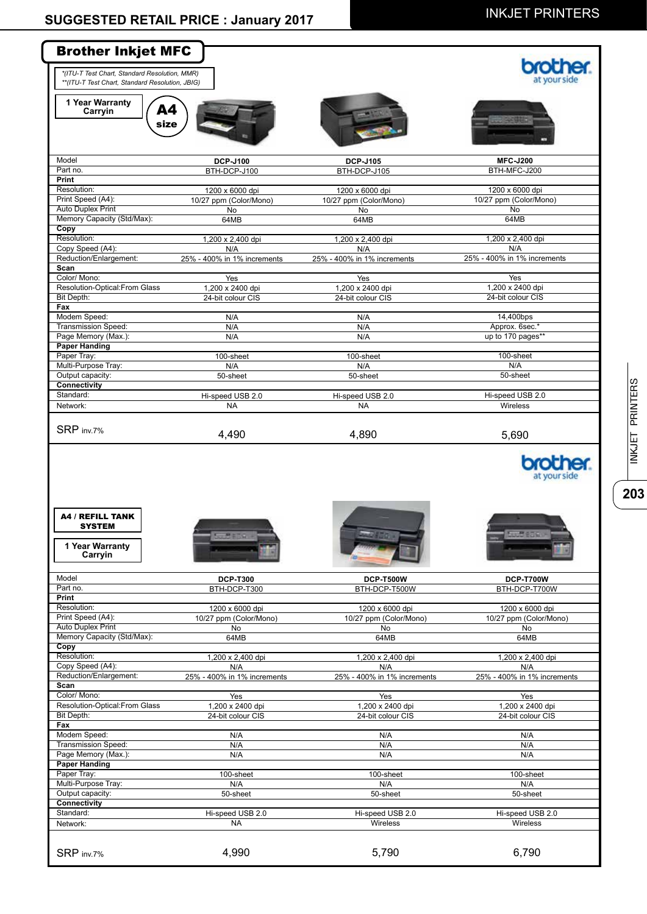| <b>Brother Inkjet MFC</b>                                                                                                                                                                                                                                                                                                                                                        |                                 |                                   |                                   |
|----------------------------------------------------------------------------------------------------------------------------------------------------------------------------------------------------------------------------------------------------------------------------------------------------------------------------------------------------------------------------------|---------------------------------|-----------------------------------|-----------------------------------|
| *(ITU-T Test Chart, Standard Resolution, MMR)<br>**(ITU-T Test Chart, Standard Resolution, JBIG)                                                                                                                                                                                                                                                                                 |                                 |                                   |                                   |
| 1 Year Warranty<br>A4<br>Carryin<br>size                                                                                                                                                                                                                                                                                                                                         |                                 |                                   |                                   |
| Model                                                                                                                                                                                                                                                                                                                                                                            | <b>DCP-J100</b>                 | <b>DCP-J105</b>                   | <b>MFC-J200</b>                   |
| Part no.<br>Print                                                                                                                                                                                                                                                                                                                                                                | BTH-DCP-J100                    | BTH-DCP-J105                      | BTH-MFC-J200                      |
| Resolution:                                                                                                                                                                                                                                                                                                                                                                      | 1200 x 6000 dpi                 | 1200 x 6000 dpi                   | 1200 x 6000 dpi                   |
| Print Speed (A4):                                                                                                                                                                                                                                                                                                                                                                | 10/27 ppm (Color/Mono)          | 10/27 ppm (Color/Mono)            | 10/27 ppm (Color/Mono)            |
| <b>Auto Duplex Print</b>                                                                                                                                                                                                                                                                                                                                                         | No                              | No                                | No                                |
| Memory Capacity (Std/Max):<br>Copy                                                                                                                                                                                                                                                                                                                                               | 64MB                            | 64MB                              | 64MB                              |
| Resolution:                                                                                                                                                                                                                                                                                                                                                                      | 1,200 x 2,400 dpi               | 1,200 x 2,400 dpi                 | 1,200 x 2,400 dpi                 |
| Copy Speed (A4):                                                                                                                                                                                                                                                                                                                                                                 | N/A                             | N/A                               | N/A                               |
| Reduction/Enlargement:<br>Scan                                                                                                                                                                                                                                                                                                                                                   | 25% - 400% in 1% increments     | 25% - 400% in 1% increments       | 25% - 400% in 1% increments       |
| Color/ Mono:                                                                                                                                                                                                                                                                                                                                                                     | Yes                             | Yes                               | Yes                               |
| Resolution-Optical:From Glass                                                                                                                                                                                                                                                                                                                                                    | 1,200 x 2400 dpi                | 1,200 x 2400 dpi                  | 1,200 x 2400 dpi                  |
| Bit Depth:<br>Fax                                                                                                                                                                                                                                                                                                                                                                | 24-bit colour CIS               | 24-bit colour CIS                 | 24-bit colour CIS                 |
| Modem Speed:                                                                                                                                                                                                                                                                                                                                                                     | N/A                             | N/A                               | 14,400bps                         |
| <b>Transmission Speed:</b>                                                                                                                                                                                                                                                                                                                                                       | N/A                             | N/A                               | Approx. 6sec.*                    |
| Page Memory (Max.):                                                                                                                                                                                                                                                                                                                                                              | N/A                             | N/A                               | up to 170 pages**                 |
| <b>Paper Handing</b><br>Paper Tray:                                                                                                                                                                                                                                                                                                                                              | 100-sheet                       | 100-sheet                         | 100-sheet                         |
| Multi-Purpose Tray:                                                                                                                                                                                                                                                                                                                                                              | N/A                             | N/A                               | N/A                               |
| Output capacity:                                                                                                                                                                                                                                                                                                                                                                 | 50-sheet                        | 50-sheet                          | 50-sheet                          |
| <b>Connectivity</b><br>Standard:                                                                                                                                                                                                                                                                                                                                                 | Hi-speed USB 2.0                | Hi-speed USB 2.0                  | Hi-speed USB 2.0                  |
|                                                                                                                                                                                                                                                                                                                                                                                  | <b>NA</b>                       | <b>NA</b>                         | Wireless                          |
|                                                                                                                                                                                                                                                                                                                                                                                  | 4,490                           | 4,890                             | 5,690                             |
|                                                                                                                                                                                                                                                                                                                                                                                  |                                 |                                   | at your side                      |
| Network:<br>SRP inv.7%<br><b>A4 / REFILL TANK</b><br><b>SYSTEM</b><br>1 Year Warranty<br>Carryin                                                                                                                                                                                                                                                                                 |                                 |                                   |                                   |
|                                                                                                                                                                                                                                                                                                                                                                                  |                                 |                                   |                                   |
|                                                                                                                                                                                                                                                                                                                                                                                  | <b>DCP-T300</b><br>BTH-DCP-T300 | <b>DCP-T500W</b><br>BTH-DCP-T500W | <b>DCP-T700W</b><br>BTH-DCP-T700W |
|                                                                                                                                                                                                                                                                                                                                                                                  |                                 |                                   |                                   |
|                                                                                                                                                                                                                                                                                                                                                                                  | 1200 x 6000 dpi                 | 1200 x 6000 dpi                   | 1200 x 6000 dpi                   |
|                                                                                                                                                                                                                                                                                                                                                                                  | 10/27 ppm (Color/Mono)<br>No    | 10/27 ppm (Color/Mono)<br>No      | 10/27 ppm (Color/Mono)<br>No      |
|                                                                                                                                                                                                                                                                                                                                                                                  | 64MB                            | 64MB                              | 64MB                              |
|                                                                                                                                                                                                                                                                                                                                                                                  |                                 |                                   |                                   |
|                                                                                                                                                                                                                                                                                                                                                                                  | 1,200 x 2,400 dpi<br>N/A        | 1,200 x 2,400 dpi<br>N/A          | 1,200 x 2,400 dpi<br>N/A          |
|                                                                                                                                                                                                                                                                                                                                                                                  | 25% - 400% in 1% increments     | 25% - 400% in 1% increments       | 25% - 400% in 1% increments       |
|                                                                                                                                                                                                                                                                                                                                                                                  |                                 |                                   |                                   |
|                                                                                                                                                                                                                                                                                                                                                                                  | Yes<br>1,200 x 2400 dpi         | Yes<br>1,200 x 2400 dpi           | Yes<br>1,200 x 2400 dpi           |
|                                                                                                                                                                                                                                                                                                                                                                                  | 24-bit colour CIS               | 24-bit colour CIS                 | 24-bit colour CIS                 |
|                                                                                                                                                                                                                                                                                                                                                                                  |                                 |                                   |                                   |
|                                                                                                                                                                                                                                                                                                                                                                                  | N/A<br>N/A                      | N/A<br>N/A                        | N/A<br>N/A                        |
|                                                                                                                                                                                                                                                                                                                                                                                  | N/A                             | N/A                               | N/A                               |
| Model<br>Part no.<br><b>Print</b><br>Resolution:<br>Print Speed (A4):<br><b>Auto Duplex Print</b><br>Memory Capacity (Std/Max):<br>Copy<br>Resolution:<br>Copy Speed (A4):<br>Reduction/Enlargement:<br>Scan<br>Color/ Mono:<br>Resolution-Optical: From Glass<br>Bit Depth:<br>Fax<br>Modem Speed:<br><b>Transmission Speed:</b><br>Page Memory (Max.):<br><b>Paper Handing</b> |                                 |                                   |                                   |
|                                                                                                                                                                                                                                                                                                                                                                                  | 100-sheet<br>N/A                | 100-sheet<br>N/A                  | 100-sheet<br>N/A                  |
| Paper Tray:<br>Multi-Purpose Tray:<br>Output capacity:                                                                                                                                                                                                                                                                                                                           | 50-sheet                        | 50-sheet                          | 50-sheet                          |
|                                                                                                                                                                                                                                                                                                                                                                                  |                                 |                                   |                                   |
|                                                                                                                                                                                                                                                                                                                                                                                  | Hi-speed USB 2.0                | Hi-speed USB 2.0                  | Hi-speed USB 2.0                  |
| Connectivity<br>Standard:<br>Network:<br>SRP inv.7%                                                                                                                                                                                                                                                                                                                              | <b>NA</b><br>4,990              | Wireless<br>5,790                 | Wireless<br>6,790                 |

INKJET PRINTERS **203**INKJET PRINTERS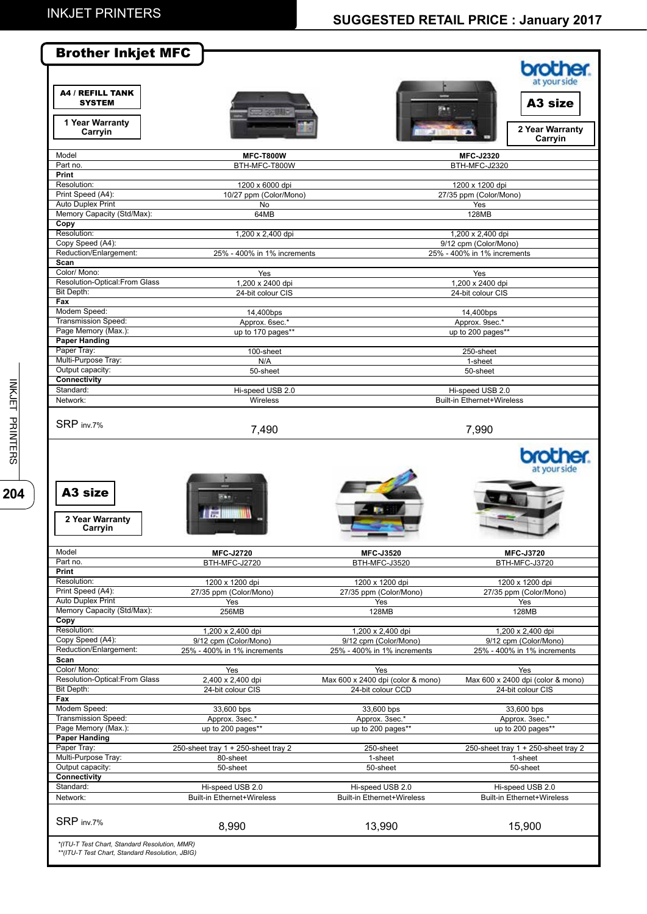|                                                                | <b>Brother Inkjet MFC</b>           |                                   | <b>brother.</b><br>at your side     |
|----------------------------------------------------------------|-------------------------------------|-----------------------------------|-------------------------------------|
| <b>A4 / REFILL TANK</b><br><b>SYSTEM</b>                       |                                     |                                   | A <sub>3</sub> size                 |
| 1 Year Warranty<br>Carryin                                     |                                     |                                   | 2 Year Warranty<br>Carryin          |
| Model<br>Part no.                                              | <b>MFC-T800W</b><br>BTH-MFC-T800W   |                                   | <b>MFC-J2320</b>                    |
| Print                                                          |                                     |                                   | BTH-MFC-J2320                       |
| Resolution:                                                    | 1200 x 6000 dpi                     |                                   | 1200 x 1200 dpi                     |
| Print Speed (A4):                                              | 10/27 ppm (Color/Mono)              |                                   | 27/35 ppm (Color/Mono)              |
| <b>Auto Duplex Print</b><br>Memory Capacity (Std/Max):         | <b>No</b><br>64MB                   |                                   | Yes<br>128MB                        |
| Copy                                                           |                                     |                                   |                                     |
| Resolution:                                                    | 1,200 x 2,400 dpi                   |                                   | 1,200 x 2,400 dpi                   |
| Copy Speed (A4):                                               |                                     |                                   | 9/12 cpm (Color/Mono)               |
| Reduction/Enlargement:<br>Scan                                 | 25% - 400% in 1% increments         |                                   | 25% - 400% in 1% increments         |
| Color/ Mono:                                                   | Yes                                 |                                   | Yes                                 |
| Resolution-Optical: From Glass                                 | 1,200 x 2400 dpi                    |                                   | 1,200 x 2400 dpi                    |
| Bit Depth:                                                     | 24-bit colour CIS                   |                                   | 24-bit colour CIS                   |
| Fax<br>Modem Speed:                                            | 14,400bps                           |                                   | 14,400bps                           |
| <b>Transmission Speed:</b>                                     | Approx. 6sec.*                      |                                   | Approx. 9sec.*                      |
| Page Memory (Max.):                                            | up to 170 pages**                   |                                   | up to 200 pages**                   |
| <b>Paper Handing</b>                                           |                                     |                                   |                                     |
| Paper Tray:<br>Multi-Purpose Tray:                             | 100-sheet<br>N/A                    |                                   | $250$ -sheet<br>1-sheet             |
| Output capacity:                                               | 50-sheet                            |                                   | 50-sheet                            |
| <b>Connectivity</b>                                            |                                     |                                   |                                     |
| Standard:                                                      | Hi-speed USB 2.0                    |                                   | Hi-speed USB 2.0                    |
| Network:                                                       | Wireless                            |                                   | <b>Built-in Ethernet+Wireless</b>   |
| SRP inv.7%                                                     | 7,490                               |                                   | 7,990<br><b>brother</b>             |
| A <sub>3</sub> size<br>2 Year Warranty<br>Carryin              |                                     |                                   | at your side                        |
| Model                                                          | <b>MFC-J2720</b>                    | <b>MFC-J3520</b>                  | <b>MFC-J3720</b>                    |
| Part no.<br>Print                                              | BTH-MFC-J2720                       | BTH-MFC-J3520                     | BTH-MFC-J3720                       |
| Resolution:                                                    | 1200 x 1200 dpi                     | 1200 x 1200 dpi                   | 1200 x 1200 dpi                     |
| Print Speed (A4):                                              | 27/35 ppm (Color/Mono)              | 27/35 ppm (Color/Mono)            | 27/35 ppm (Color/Mono)              |
|                                                                | Yes                                 | Yes                               | Yes                                 |
| <b>Auto Duplex Print</b><br>Memory Capacity (Std/Max):<br>Copy | 256MB                               | 128MB                             | 128MB                               |
| Resolution:                                                    | 1,200 x 2,400 dpi                   | 1,200 x 2,400 dpi                 | 1,200 x 2,400 dpi                   |
| Copy Speed (A4):                                               | 9/12 cpm (Color/Mono)               | 9/12 cpm (Color/Mono)             | 9/12 cpm (Color/Mono)               |
| Reduction/Enlargement:<br>Scan                                 | 25% - 400% in 1% increments         | 25% - 400% in 1% increments       | 25% - 400% in 1% increments         |
| Color/ Mono:                                                   | Yes                                 | Yes                               | Yes                                 |
| Resolution-Optical: From Glass                                 | 2,400 x 2,400 dpi                   | Max 600 x 2400 dpi (color & mono) | Max 600 x 2400 dpi (color & mono)   |
| Bit Depth:                                                     | 24-bit colour CIS                   | 24-bit colour CCD                 | 24-bit colour CIS                   |
| Fax                                                            |                                     |                                   |                                     |
| Modem Speed:<br>Transmission Speed:                            | 33,600 bps<br>Approx. 3sec.*        | 33,600 bps<br>Approx. 3sec.*      | 33,600 bps<br>Approx. 3sec.*        |
| Page Memory (Max.):                                            | up to 200 pages**                   | up to 200 pages**                 | up to 200 pages**                   |
| Paper Handing                                                  |                                     |                                   |                                     |
| Paper Tray:                                                    | 250-sheet tray 1 + 250-sheet tray 2 | 250-sheet                         | 250-sheet tray 1 + 250-sheet tray 2 |
| Multi-Purpose Tray:<br>Output capacity:                        | 80-sheet                            | 1-sheet                           | 1-sheet                             |
| Connectivity                                                   | 50-sheet                            | 50-sheet                          | 50-sheet                            |
| Standard:                                                      | Hi-speed USB 2.0                    | Hi-speed USB 2.0                  | Hi-speed USB 2.0                    |
| Network:                                                       | <b>Built-in Ethernet+Wireless</b>   | <b>Built-in Ethernet+Wireless</b> | <b>Built-in Ethernet+Wireless</b>   |